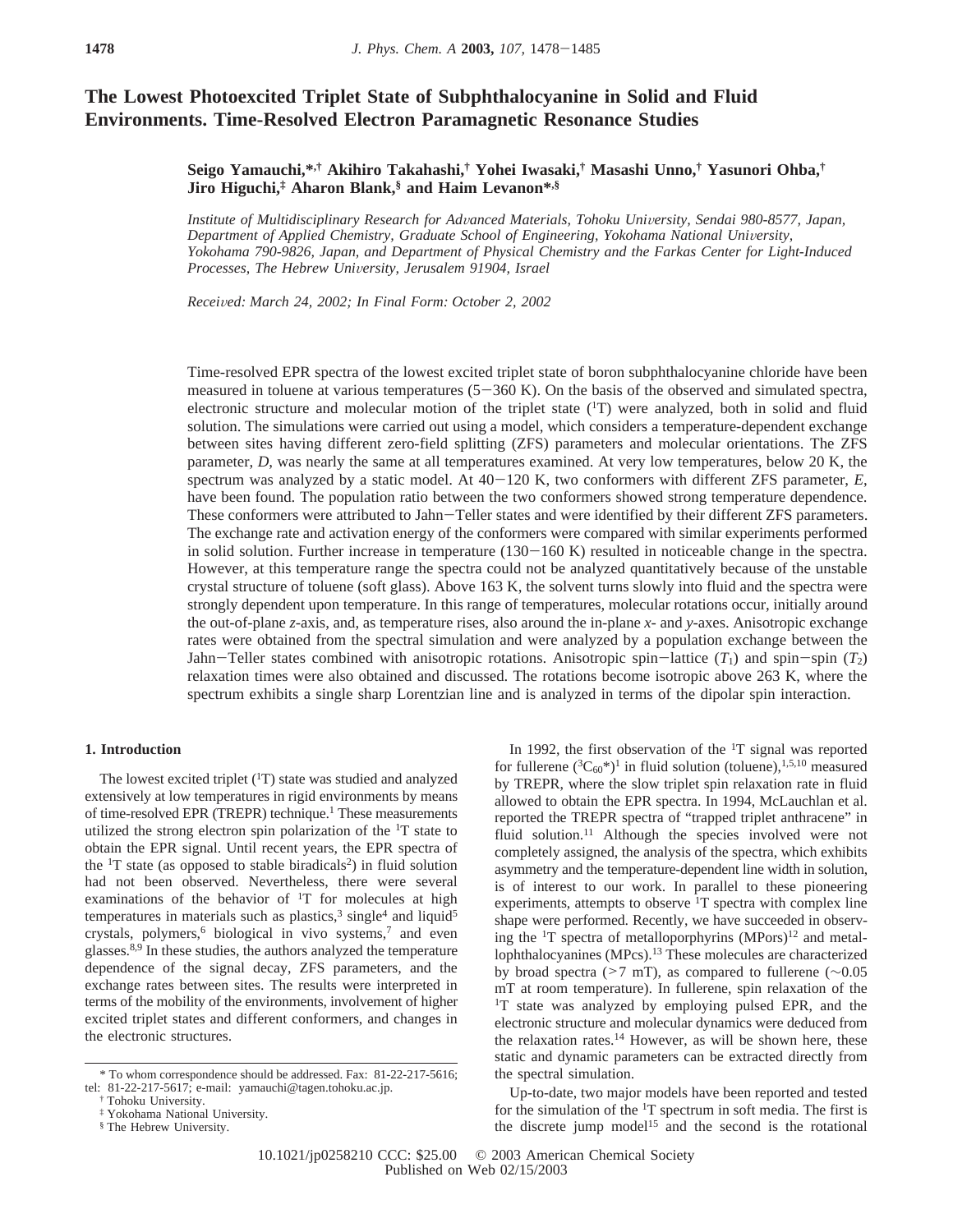# **The Lowest Photoexcited Triplet State of Subphthalocyanine in Solid and Fluid Environments. Time-Resolved Electron Paramagnetic Resonance Studies**

## **Seigo Yamauchi,\*,† Akihiro Takahashi,† Yohei Iwasaki,† Masashi Unno,† Yasunori Ohba,† Jiro Higuchi,‡ Aharon Blank,§ and Haim Levanon\*,§**

*Institute of Multidisciplinary Research for Ad*V*anced Materials, Tohoku Uni*V*ersity, Sendai 980-8577, Japan,* Department of Applied Chemistry, Graduate School of Engineering, Yokohama National University, *Yokohama 790-9826, Japan, and Department of Physical Chemistry and the Farkas Center for Light-Induced Processes, The Hebrew University, Jerusalem 91904, Israel* 

*Recei*V*ed: March 24, 2002; In Final Form: October 2, 2002*

Time-resolved EPR spectra of the lowest excited triplet state of boron subphthalocyanine chloride have been measured in toluene at various temperatures  $(5-360 \text{ K})$ . On the basis of the observed and simulated spectra, electronic structure and molecular motion of the triplet state (<sup>1</sup>T) were analyzed, both in solid and fluid solution. The simulations were carried out using a model, which considers a temperature-dependent exchange between sites having different zero-field splitting (ZFS) parameters and molecular orientations. The ZFS parameter, *D*, was nearly the same at all temperatures examined. At very low temperatures, below 20 K, the spectrum was analyzed by a static model. At  $40-120$  K, two conformers with different ZFS parameter,  $E$ , have been found. The population ratio between the two conformers showed strong temperature dependence. These conformers were attributed to Jahn-Teller states and were identified by their different ZFS parameters. The exchange rate and activation energy of the conformers were compared with similar experiments performed in solid solution. Further increase in temperature  $(130-160 \text{ K})$  resulted in noticeable change in the spectra. However, at this temperature range the spectra could not be analyzed quantitatively because of the unstable crystal structure of toluene (soft glass). Above 163 K, the solvent turns slowly into fluid and the spectra were strongly dependent upon temperature. In this range of temperatures, molecular rotations occur, initially around the out-of-plane *z*-axis, and, as temperature rises, also around the in-plane *x-* and *y*-axes. Anisotropic exchange rates were obtained from the spectral simulation and were analyzed by a population exchange between the Jahn-Teller states combined with anisotropic rotations. Anisotropic spin-lattice  $(T_1)$  and spin-spin  $(T_2)$ relaxation times were also obtained and discussed. The rotations become isotropic above 263 K, where the spectrum exhibits a single sharp Lorentzian line and is analyzed in terms of the dipolar spin interaction.

#### **1. Introduction**

The lowest excited triplet  $({}^{1}T)$  state was studied and analyzed extensively at low temperatures in rigid environments by means of time-resolved EPR (TREPR) technique.<sup>1</sup> These measurements utilized the strong electron spin polarization of the <sup>1</sup>T state to obtain the EPR signal. Until recent years, the EPR spectra of the  $T$  state (as opposed to stable biradicals<sup>2</sup>) in fluid solution had not been observed. Nevertheless, there were several examinations of the behavior of  $T$  for molecules at high temperatures in materials such as plastics,<sup>3</sup> single<sup>4</sup> and liquid<sup>5</sup> crystals, polymers,<sup>6</sup> biological in vivo systems,<sup>7</sup> and even glasses.8,9 In these studies, the authors analyzed the temperature dependence of the signal decay, ZFS parameters, and the exchange rates between sites. The results were interpreted in terms of the mobility of the environments, involvement of higher excited triplet states and different conformers, and changes in the electronic structures.

In 1992, the first observation of the 1T signal was reported for fullerene  $({}^3C_{60}^*)^1$  in fluid solution (toluene),<sup>1,5,10</sup> measured by TREPR, where the slow triplet spin relaxation rate in fluid allowed to obtain the EPR spectra. In 1994, McLauchlan et al. reported the TREPR spectra of "trapped triplet anthracene" in fluid solution.<sup>11</sup> Although the species involved were not completely assigned, the analysis of the spectra, which exhibits asymmetry and the temperature-dependent line width in solution, is of interest to our work. In parallel to these pioneering experiments, attempts to observe  $T$  spectra with complex line shape were performed. Recently, we have succeeded in observing the  ${}^{1}$ T spectra of metalloporphyrins (MPors)<sup>12</sup> and metallophthalocyanines (MPcs).<sup>13</sup> These molecules are characterized by broad spectra (>7 mT), as compared to fullerene (∼0.05 mT at room temperature). In fullerene, spin relaxation of the <sup>1</sup>T state was analyzed by employing pulsed EPR, and the electronic structure and molecular dynamics were deduced from the relaxation rates.<sup>14</sup> However, as will be shown here, these static and dynamic parameters can be extracted directly from the spectral simulation.

Up-to-date, two major models have been reported and tested for the simulation of the <sup>1</sup>T spectrum in soft media. The first is the discrete jump model<sup>15</sup> and the second is the rotational

<sup>\*</sup> To whom correspondence should be addressed. Fax: 81-22-217-5616; tel: 81-22-217-5617; e-mail: yamauchi@tagen.tohoku.ac.jp.

<sup>†</sup> Tohoku University.

<sup>‡</sup> Yokohama National University.

<sup>§</sup> The Hebrew University.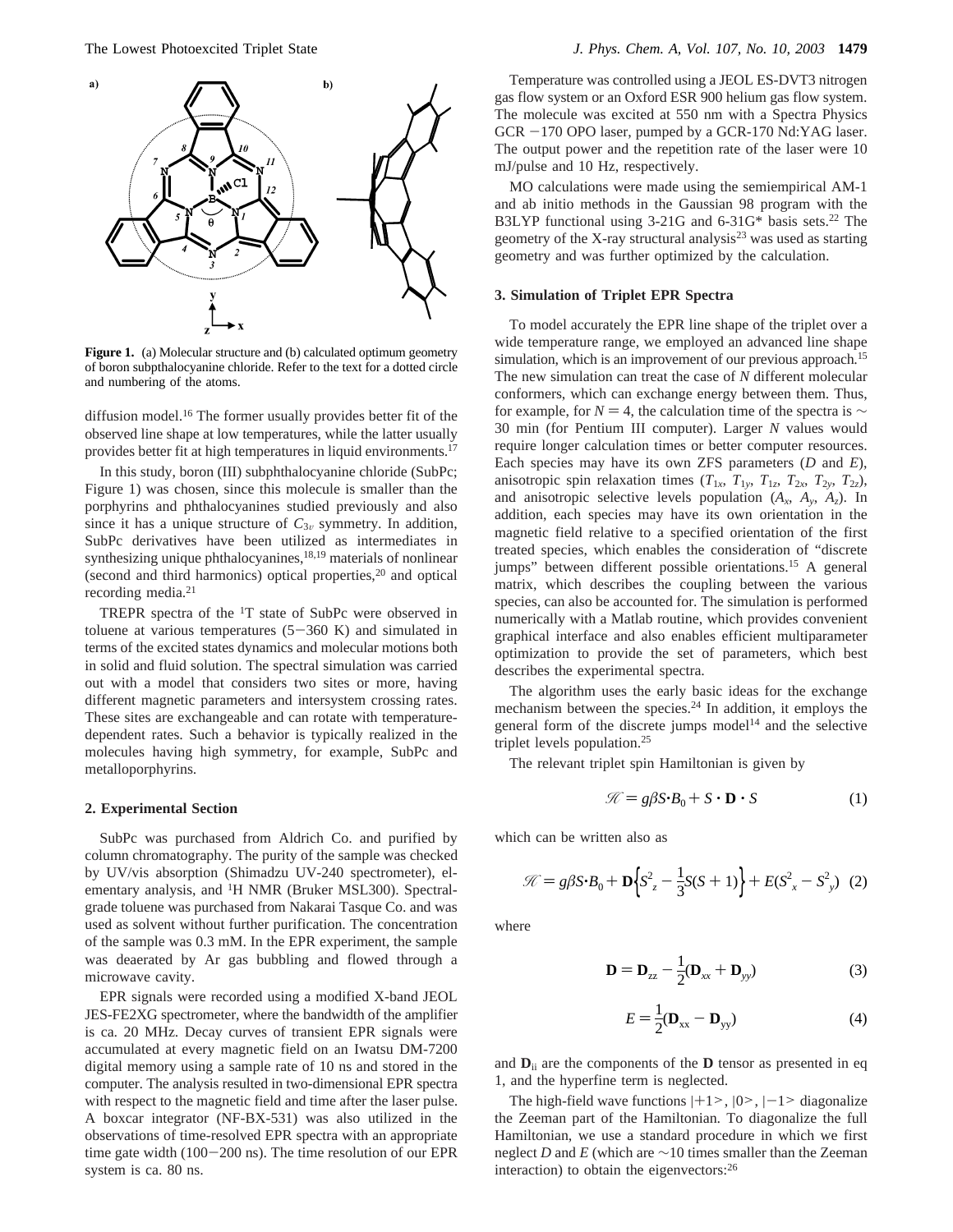

**Figure 1.** (a) Molecular structure and (b) calculated optimum geometry of boron subpthalocyanine chloride. Refer to the text for a dotted circle and numbering of the atoms.

diffusion model.<sup>16</sup> The former usually provides better fit of the observed line shape at low temperatures, while the latter usually provides better fit at high temperatures in liquid environments.17

In this study, boron (III) subphthalocyanine chloride (SubPc; Figure 1) was chosen, since this molecule is smaller than the porphyrins and phthalocyanines studied previously and also since it has a unique structure of  $C_{3v}$  symmetry. In addition, SubPc derivatives have been utilized as intermediates in synthesizing unique phthalocyanines, $18,19$  materials of nonlinear (second and third harmonics) optical properties, $2<sup>0</sup>$  and optical recording media.21

TREPR spectra of the 1T state of SubPc were observed in toluene at various temperatures  $(5-360 \text{ K})$  and simulated in terms of the excited states dynamics and molecular motions both in solid and fluid solution. The spectral simulation was carried out with a model that considers two sites or more, having different magnetic parameters and intersystem crossing rates. These sites are exchangeable and can rotate with temperaturedependent rates. Such a behavior is typically realized in the molecules having high symmetry, for example, SubPc and metalloporphyrins.

### **2. Experimental Section**

SubPc was purchased from Aldrich Co. and purified by column chromatography. The purity of the sample was checked by UV/vis absorption (Shimadzu UV-240 spectrometer), elementary analysis, and 1H NMR (Bruker MSL300). Spectralgrade toluene was purchased from Nakarai Tasque Co. and was used as solvent without further purification. The concentration of the sample was 0.3 mM. In the EPR experiment, the sample was deaerated by Ar gas bubbling and flowed through a microwave cavity.

EPR signals were recorded using a modified X-band JEOL JES-FE2XG spectrometer, where the bandwidth of the amplifier is ca. 20 MHz. Decay curves of transient EPR signals were accumulated at every magnetic field on an Iwatsu DM-7200 digital memory using a sample rate of 10 ns and stored in the computer. The analysis resulted in two-dimensional EPR spectra with respect to the magnetic field and time after the laser pulse. A boxcar integrator (NF-BX-531) was also utilized in the observations of time-resolved EPR spectra with an appropriate time gate width  $(100-200 \text{ ns})$ . The time resolution of our EPR system is ca. 80 ns.

Temperature was controlled using a JEOL ES-DVT3 nitrogen gas flow system or an Oxford ESR 900 helium gas flow system. The molecule was excited at 550 nm with a Spectra Physics  $GCR -170$  OPO laser, pumped by a  $GCR-170$  Nd:YAG laser. The output power and the repetition rate of the laser were 10 mJ/pulse and 10 Hz, respectively.

MO calculations were made using the semiempirical AM-1 and ab initio methods in the Gaussian 98 program with the B3LYP functional using 3-21G and 6-31G\* basis sets.<sup>22</sup> The geometry of the X-ray structural analysis<sup>23</sup> was used as starting geometry and was further optimized by the calculation.

#### **3. Simulation of Triplet EPR Spectra**

To model accurately the EPR line shape of the triplet over a wide temperature range, we employed an advanced line shape simulation, which is an improvement of our previous approach.<sup>15</sup> The new simulation can treat the case of *N* different molecular conformers, which can exchange energy between them. Thus, for example, for  $N = 4$ , the calculation time of the spectra is  $\sim$ 30 min (for Pentium III computer). Larger *N* values would require longer calculation times or better computer resources. Each species may have its own ZFS parameters (*D* and *E*), anisotropic spin relaxation times  $(T_{1x}, T_{1y}, T_{1z}, T_{2x}, T_{2y}, T_{2z})$ , and anisotropic selective levels population  $(A_x, A_y, A_z)$ . In addition, each species may have its own orientation in the magnetic field relative to a specified orientation of the first treated species, which enables the consideration of "discrete jumps" between different possible orientations.15 A general matrix, which describes the coupling between the various species, can also be accounted for. The simulation is performed numerically with a Matlab routine, which provides convenient graphical interface and also enables efficient multiparameter optimization to provide the set of parameters, which best describes the experimental spectra.

The algorithm uses the early basic ideas for the exchange mechanism between the species.24 In addition, it employs the general form of the discrete jumps model<sup>14</sup> and the selective triplet levels population.25

The relevant triplet spin Hamiltonian is given by

$$
\mathcal{H} = g\beta S \cdot B_0 + S \cdot D \cdot S \tag{1}
$$

which can be written also as

$$
\mathcal{K} = g\beta S \cdot B_0 + \mathbf{D} \Big\{ S_z^2 - \frac{1}{3} S(S+1) \Big\} + E(S_x^2 - S_y^2) \tag{2}
$$

where

$$
\mathbf{D} = \mathbf{D}_{zz} - \frac{1}{2} (\mathbf{D}_{xx} + \mathbf{D}_{yy})
$$
 (3)

$$
E = \frac{1}{2}(\mathbf{D}_{xx} - \mathbf{D}_{yy})
$$
 (4)

and  $\mathbf{D}_{ii}$  are the components of the  $\mathbf{D}$  tensor as presented in eq 1, and the hyperfine term is neglected.

The high-field wave functions  $|+1>$ ,  $|0>$ ,  $|-1>$  diagonalize the Zeeman part of the Hamiltonian. To diagonalize the full Hamiltonian, we use a standard procedure in which we first neglect *D* and *E* (which are ∼10 times smaller than the Zeeman interaction) to obtain the eigenvectors:26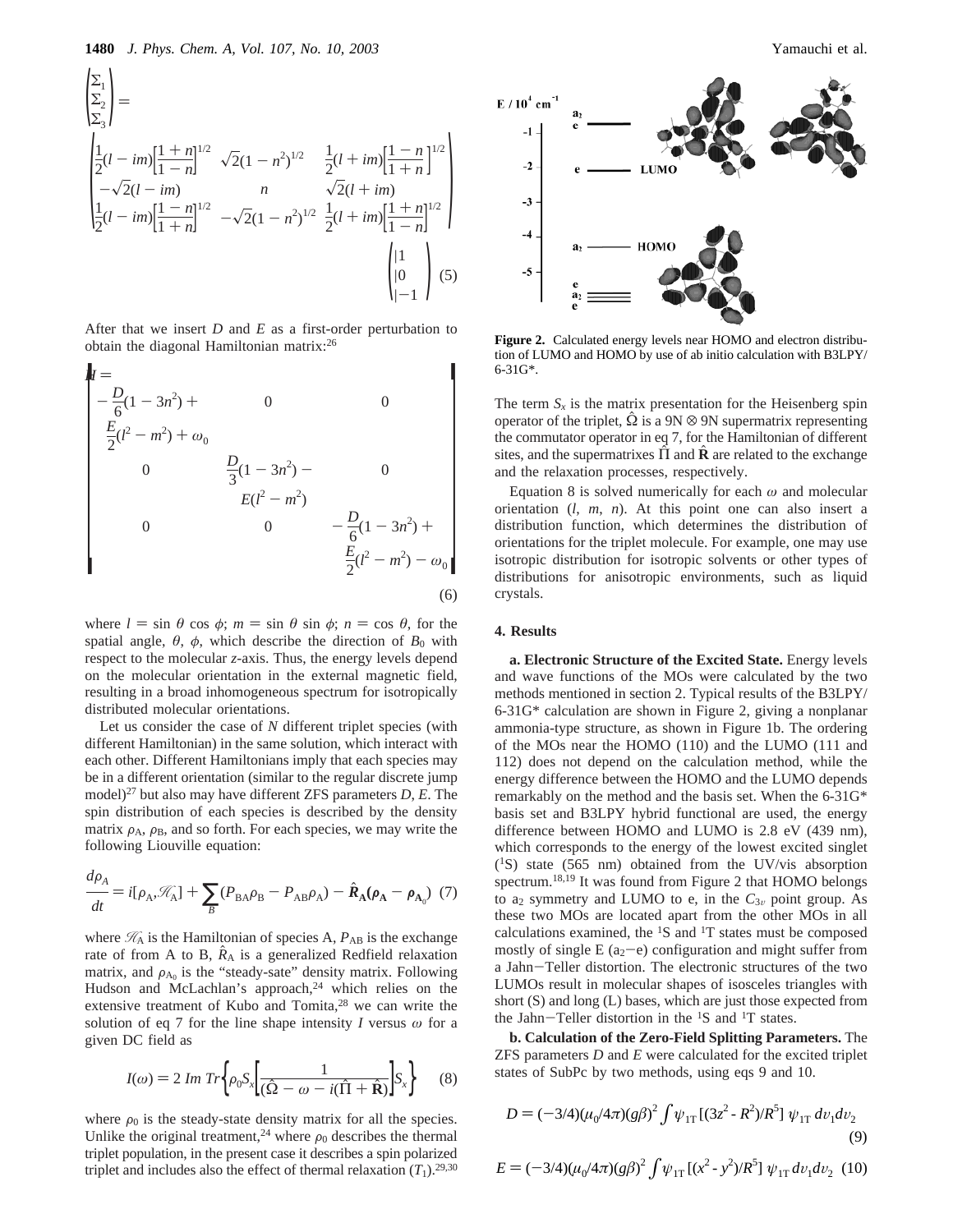$$
\begin{aligned}\n\left(\sum_{\substack{2\\2\\3}}^{2}\right) &= \\
\left(\frac{1}{2}(l-im)\left[\frac{1+n}{1-n}\right]^{1/2} \sqrt{2}(1-n^2)^{1/2} \quad \frac{1}{2}(l+im)\left[\frac{1-n}{1+n}\right]^{1/2} \right) \\
-\sqrt{2}(l-im) \\
\left(\frac{1-n}{1+n}\right)^{1/2} -\sqrt{2}(1-n^2)^{1/2} \quad \frac{1}{2}(l+im)\left[\frac{1+n}{1-n}\right]^{1/2} \\
\left(\frac{1}{2}(l-im)\left[\frac{1-n}{1+n}\right]^{1/2} -\sqrt{2}(1-n^2)^{1/2} \quad \frac{1}{2}(l+im)\left[\frac{1+n}{1-n}\right]^{1/2} \right)\n\end{aligned}
$$

After that we insert *D* and *E* as a first-order perturbation to obtain the diagonal Hamiltonian matrix:26

$$
H = \n\begin{bmatrix}\n-\frac{D}{6}(1 - 3n^{2}) + & 0 & 0 \\
\frac{E}{2}(l^{2} - m^{2}) + \omega_{0} & & \\
0 & \frac{D}{3}(1 - 3n^{2}) - & 0 \\
& \frac{E(l^{2} - m^{2})}{0} & -\frac{D}{6}(1 - 3n^{2}) + \\
& \frac{E}{2}(l^{2} - m^{2}) - \omega_{0}\n\end{bmatrix}
$$
\n(6)

where  $l = \sin \theta \cos \phi$ ;  $m = \sin \theta \sin \phi$ ;  $n = \cos \theta$ , for the spatial angle,  $\theta$ ,  $\phi$ , which describe the direction of  $B_0$  with respect to the molecular *z*-axis. Thus, the energy levels depend on the molecular orientation in the external magnetic field, resulting in a broad inhomogeneous spectrum for isotropically distributed molecular orientations.

Let us consider the case of *N* different triplet species (with different Hamiltonian) in the same solution, which interact with each other. Different Hamiltonians imply that each species may be in a different orientation (similar to the regular discrete jump model)27 but also may have different ZFS parameters *D*, *E*. The spin distribution of each species is described by the density matrix  $\rho_A$ ,  $\rho_B$ , and so forth. For each species, we may write the following Liouville equation:

$$
\frac{d\rho_A}{dt} = i[\rho_A, \mathcal{K}_A] + \sum_B (P_{BA}\rho_B - P_{AB}\rho_A) - \hat{R}_A(\rho_A - \rho_{A_0})
$$
 (7)

where  $\mathcal{H}_A$  is the Hamiltonian of species A,  $P_{AB}$  is the exchange rate of from A to B,  $\ddot{R}_A$  is a generalized Redfield relaxation matrix, and  $\rho_{A0}$  is the "steady-sate" density matrix. Following Hudson and McLachlan's approach,<sup>24</sup> which relies on the extensive treatment of Kubo and Tomita,<sup>28</sup> we can write the solution of eq 7 for the line shape intensity *I* versus *ω* for a given DC field as

$$
I(\omega) = 2 Im Tr \left\{ \rho_0 S_x \left[ \frac{1}{(\hat{\Omega} - \omega - i(\hat{\Pi} + \hat{\mathbf{R}})}) S_x \right] \right\} \tag{8}
$$

where  $\rho_0$  is the steady-state density matrix for all the species. Unlike the original treatment,<sup>24</sup> where  $\rho_0$  describes the thermal triplet population, in the present case it describes a spin polarized triplet and includes also the effect of thermal relaxation  $(T_1)$ .<sup>29,30</sup>



**Figure 2.** Calculated energy levels near HOMO and electron distribution of LUMO and HOMO by use of ab initio calculation with B3LPY/ 6-31G\*.

The term  $S_x$  is the matrix presentation for the Heisenberg spin operator of the triplet,  $\hat{\Omega}$  is a 9N  $\otimes$  9N supermatrix representing the commutator operator in eq 7, for the Hamiltonian of different sites, and the supermatrixes  $\Pi$  and  $\ddot{\mathbf{R}}$  are related to the exchange and the relaxation processes, respectively.

Equation 8 is solved numerically for each *ω* and molecular orientation (*l*, *m*, *n*). At this point one can also insert a distribution function, which determines the distribution of orientations for the triplet molecule. For example, one may use isotropic distribution for isotropic solvents or other types of distributions for anisotropic environments, such as liquid crystals.

#### **4. Results**

**a. Electronic Structure of the Excited State.** Energy levels and wave functions of the MOs were calculated by the two methods mentioned in section 2. Typical results of the B3LPY/ 6-31G\* calculation are shown in Figure 2, giving a nonplanar ammonia-type structure, as shown in Figure 1b. The ordering of the MOs near the HOMO (110) and the LUMO (111 and 112) does not depend on the calculation method, while the energy difference between the HOMO and the LUMO depends remarkably on the method and the basis set. When the 6-31G\* basis set and B3LPY hybrid functional are used, the energy difference between HOMO and LUMO is 2.8 eV (439 nm), which corresponds to the energy of the lowest excited singlet (1S) state (565 nm) obtained from the UV/vis absorption spectrum.18,19 It was found from Figure 2 that HOMO belongs to  $a_2$  symmetry and LUMO to e, in the  $C_{3v}$  point group. As these two MOs are located apart from the other MOs in all calculations examined, the 1S and 1T states must be composed mostly of single  $E(a_2-e)$  configuration and might suffer from a Jahn-Teller distortion. The electronic structures of the two LUMOs result in molecular shapes of isosceles triangles with short (S) and long (L) bases, which are just those expected from the Jahn-Teller distortion in the  ${}^{1}S$  and  ${}^{1}T$  states.

**b. Calculation of the Zero-Field Splitting Parameters.** The ZFS parameters *D* and *E* were calculated for the excited triplet states of SubPc by two methods, using eqs 9 and 10.

$$
D = (-3/4)(\mu_0/4\pi)(g\beta)^2 \int \psi_{1T} [(3z^2 - R^2)/R^5] \psi_{1T} dv_1 dv_2
$$
\n(9)

$$
E = (-3/4)(\mu_0/4\pi)(g\beta)^2 \int \psi_{1T} [(x^2 - y^2)/R^5] \psi_{1T} dv_1 dv_2
$$
 (10)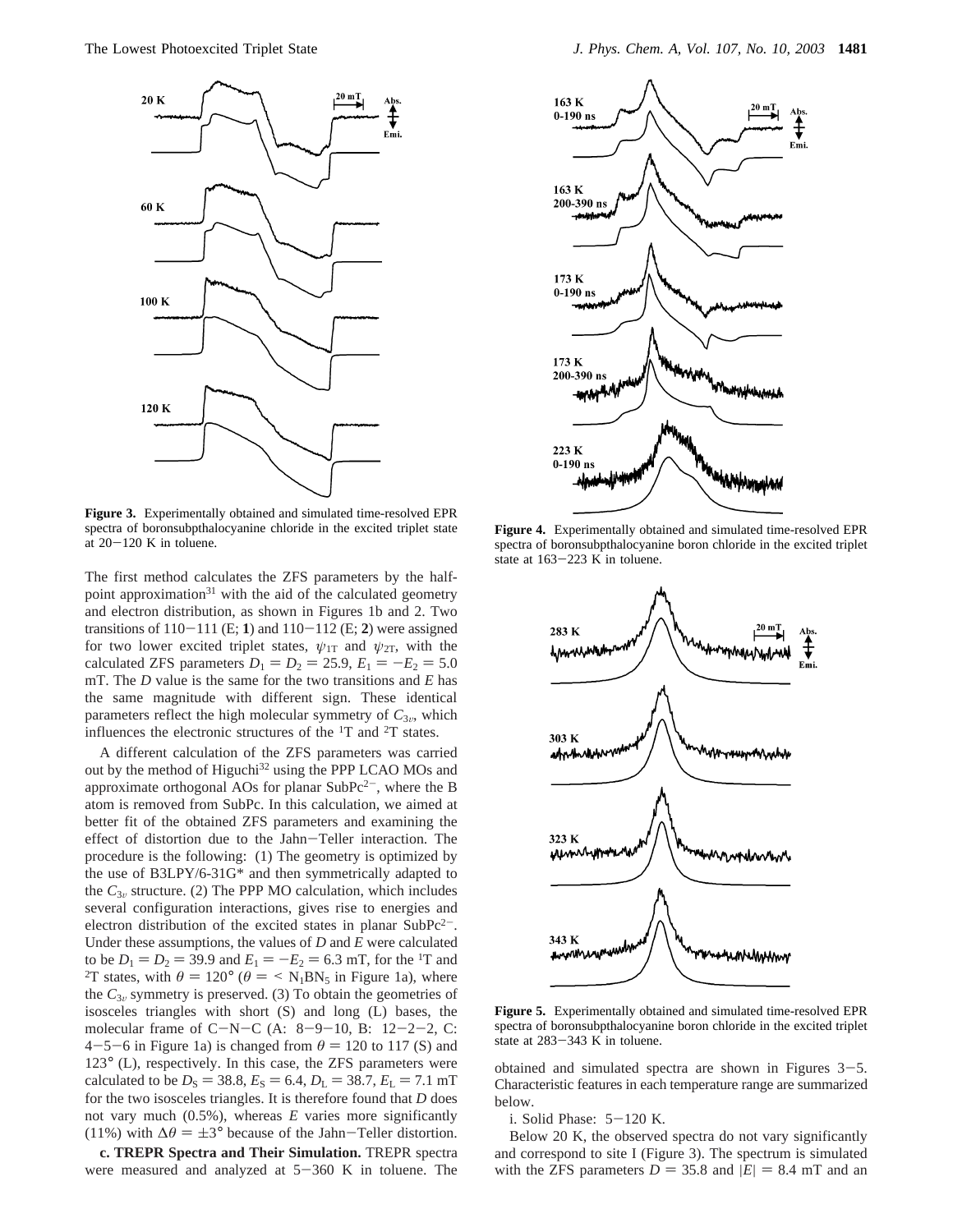

**Figure 3.** Experimentally obtained and simulated time-resolved EPR spectra of boronsubpthalocyanine chloride in the excited triplet state at  $20-120$  K in toluene.

The first method calculates the ZFS parameters by the halfpoint approximation $31$  with the aid of the calculated geometry and electron distribution, as shown in Figures 1b and 2. Two transitions of  $110-111$  (E; 1) and  $110-112$  (E; 2) were assigned for two lower excited triplet states,  $\psi_{1T}$  and  $\psi_{2T}$ , with the calculated ZFS parameters  $D_1 = D_2 = 25.9, E_1 = -E_2 = 5.0$ mT. The *D* value is the same for the two transitions and *E* has the same magnitude with different sign. These identical parameters reflect the high molecular symmetry of  $C_{3v}$ , which influences the electronic structures of the  ${}^{1}$ T and  ${}^{2}$ T states.

A different calculation of the ZFS parameters was carried out by the method of Higuchi<sup>32</sup> using the PPP LCAO MOs and approximate orthogonal AOs for planar  $SubPc<sup>2</sup>$ , where the B atom is removed from SubPc. In this calculation, we aimed at better fit of the obtained ZFS parameters and examining the effect of distortion due to the Jahn-Teller interaction. The procedure is the following: (1) The geometry is optimized by the use of B3LPY/6-31G\* and then symmetrically adapted to the  $C_{3v}$  structure. (2) The PPP MO calculation, which includes several configuration interactions, gives rise to energies and electron distribution of the excited states in planar  $SubPc<sup>2</sup>$ . Under these assumptions, the values of *D* and *E* were calculated to be  $D_1 = D_2 = 39.9$  and  $E_1 = -E_2 = 6.3$  mT, for the <sup>1</sup>T and <sup>2</sup>T states, with  $\theta = 120^\circ$  ( $\theta = \langle N_1BN_5 \rangle$  in Figure 1a), where the  $C_{3v}$  symmetry is preserved. (3) To obtain the geometries of isosceles triangles with short (S) and long (L) bases, the molecular frame of  $C-N-C$  (A:  $8-9-10$ , B:  $12-2-2$ , C:  $4-5-6$  in Figure 1a) is changed from  $\theta = 120$  to 117 (S) and 123° (L), respectively. In this case, the ZFS parameters were calculated to be  $D_S = 38.8$ ,  $E_S = 6.4$ ,  $D_L = 38.7$ ,  $E_L = 7.1$  mT for the two isosceles triangles. It is therefore found that *D* does not vary much (0.5%), whereas *E* varies more significantly (11%) with  $\Delta\theta = \pm 3^{\circ}$  because of the Jahn-Teller distortion.

**c. TREPR Spectra and Their Simulation.** TREPR spectra were measured and analyzed at  $5-360$  K in toluene. The



**Figure 4.** Experimentally obtained and simulated time-resolved EPR spectra of boronsubpthalocyanine boron chloride in the excited triplet state at 163-223 K in toluene.



**Figure 5.** Experimentally obtained and simulated time-resolved EPR spectra of boronsubpthalocyanine boron chloride in the excited triplet state at 283-343 K in toluene.

obtained and simulated spectra are shown in Figures  $3-5$ . Characteristic features in each temperature range are summarized below.

i. Solid Phase: 5-120 K.

Below 20 K, the observed spectra do not vary significantly and correspond to site I (Figure 3). The spectrum is simulated with the ZFS parameters  $D = 35.8$  and  $|E| = 8.4$  mT and an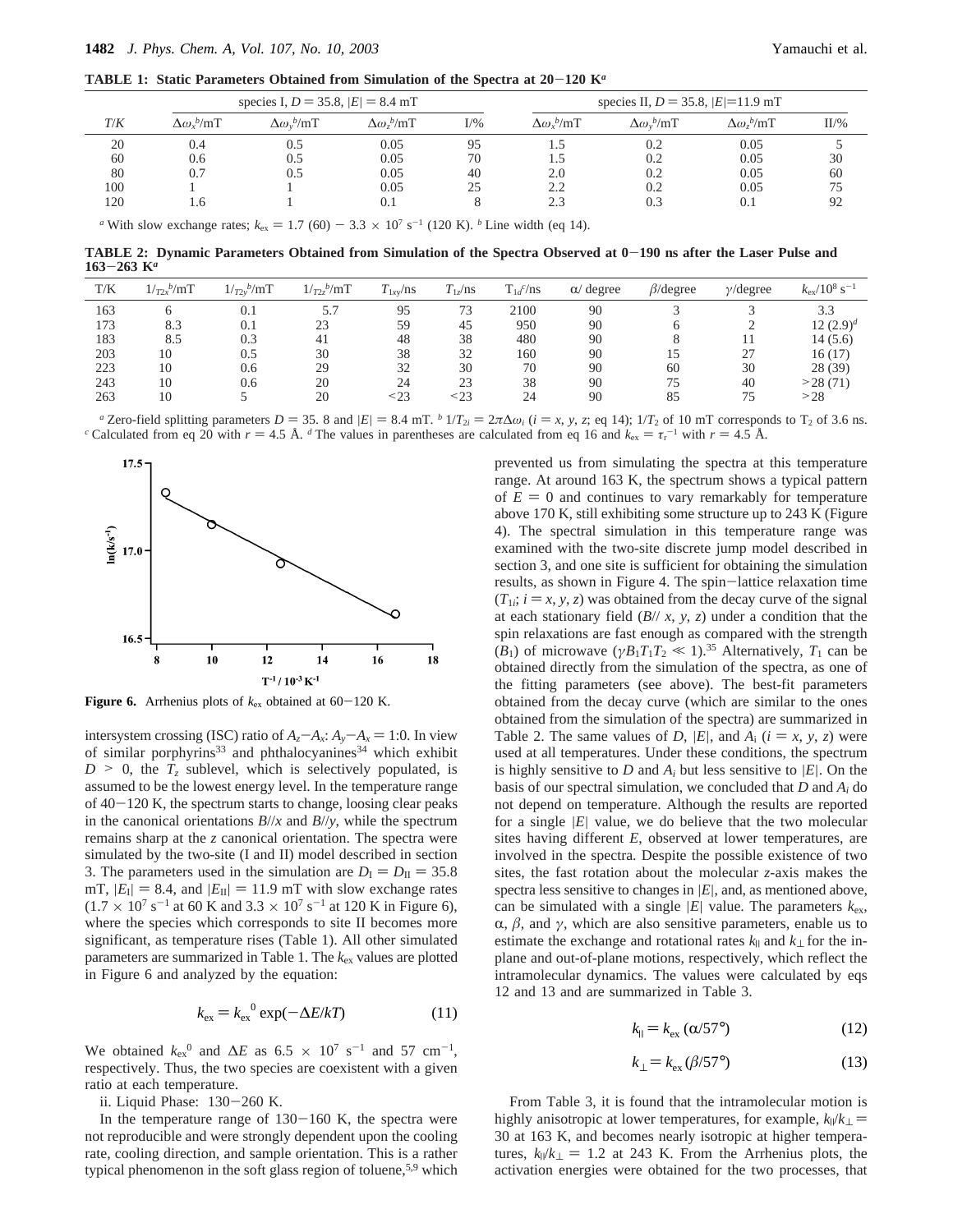**TABLE 1: Static Parameters Obtained from Simulation of the Spectra at 20**-**120 K***<sup>a</sup>*

|     |                        | species I, $D = 35.8$ , $ E  = 8.4$ mT |                        |        | species II, $D = 35.8$ , $ E =11.9$ mT |                        |                        |         |
|-----|------------------------|----------------------------------------|------------------------|--------|----------------------------------------|------------------------|------------------------|---------|
| T/K | $\Delta \omega_r^b/mT$ | $\Delta \omega_v^b/mT$                 | $\Delta \omega_z^b/mT$ | $I/\%$ | $\Delta \omega_r^b/mT$                 | $\Delta \omega_v^b/mT$ | $\Delta \omega_z^b/mT$ | $II/\%$ |
| 20  | 0.4                    | 0.5                                    | 0.05                   | 95     |                                        | 0.2                    | 0.05                   |         |
| 60  | 0.6                    | 0.5                                    | 0.05                   | 70     |                                        | 0.2                    | 0.05                   | 30      |
| 80  | 0.7                    | 0.5                                    | 0.05                   | 40     | 2.0                                    | 0.2                    | 0.05                   | 60      |
| 100 |                        |                                        | 0.05                   | 25     | 2.2                                    | 0.2                    | 0.05                   | 75      |
| 120 | 1.6                    |                                        | 0.1                    |        | 2.3                                    | 0.3                    | 0.1                    | 92      |
|     |                        |                                        | $ -$                   |        |                                        |                        |                        |         |

*a* With slow exchange rates;  $k_{ex} = 1.7 (60) - 3.3 \times 10^{7} \text{ s}^{-1} (120 \text{ K})$ . *b* Line width (eq 14).

**TABLE 2: Dynamic Parameters Obtained from Simulation of the Spectra Observed at 0**-**190 ns after the Laser Pulse and <sup>163</sup>**-**263 K***<sup>a</sup>*

| T/K | $1/r_{2x}^{\ b}/mT$ | $1/r_{2y}^{\ b}/mT$ | $1/r_{2z}^{\ b}/mT$ | $T_{1xy}/ns$ | $T_{1z}/\text{ns}$ | $T_{1d}^c$ /ns | $\alpha$ degree | $\beta$ /degree | $\gamma$ /degree | $k_{\rm ex}/10^8$ s <sup>-1</sup> |
|-----|---------------------|---------------------|---------------------|--------------|--------------------|----------------|-----------------|-----------------|------------------|-----------------------------------|
| 163 |                     | 0.1                 | 5.7                 | 95           | 73                 | 2100           | 90              |                 |                  | 3.3                               |
| 173 | 8.3                 | 0.1                 | 23                  | 59           | 45                 | 950            | 90              |                 |                  | 12 $(2.9)^d$                      |
| 183 | 8.5                 | 0.3                 | 41                  | 48           | 38                 | 480            | 90              |                 |                  | 14(5.6)                           |
| 203 | 10                  | 0.5                 | 30                  | 38           | 32                 | 160            | 90              | 15              | 27               | 16(17)                            |
| 223 | 10                  | 0.6                 | 29                  | 32           | 30                 | 70             | 90              | 60              | 30               | 28 (39)                           |
| 243 | 10                  | 0.6                 | 20                  | 24           | 23                 | 38             | 90              | 75              | 40               | >28(71)                           |
| 263 | 10                  |                     | 20                  | < 23         | < 23               | 24             | 90              | 85              | 75               | >28                               |

<sup>*a*</sup> Zero-field splitting parameters  $D = 35$ . 8 and  $|E| = 8.4$  mT. <sup>*b*</sup>  $1/T_{2i} = 2\pi\Delta\omega_i$  ( $i = x, y, z$ ; eq 14);  $1/T_2$  of 10 mT corresponds to T<sub>2</sub> of 3.6 ns.<br><sup>*c*</sup> Calculated from eq 20 with  $r = 4.5$  Å. <sup>*d*</sup> The values <sup>c</sup> Calculated from eq 20 with  $r = 4.5$  Å. <sup>d</sup> The values in parentheses are calculated from eq 16 and  $k_{ex} = \tau_r^{-1}$  with  $r = 4.5$  Å.



**Figure 6.** Arrhenius plots of  $k_{ex}$  obtained at  $60-120$  K.

intersystem crossing (ISC) ratio of  $A_z - A_x$ :  $A_y - A_x = 1:0$ . In view of similar porphyrins<sup>33</sup> and phthalocyanines<sup>34</sup> which exhibit  $D > 0$ , the  $T<sub>z</sub>$  sublevel, which is selectively populated, is assumed to be the lowest energy level. In the temperature range of  $40-120$  K, the spectrum starts to change, loosing clear peaks in the canonical orientations  $B/\ell x$  and  $B/\ell y$ , while the spectrum remains sharp at the *z* canonical orientation. The spectra were simulated by the two-site (I and II) model described in section 3. The parameters used in the simulation are  $D_{\rm I} = D_{\rm II} = 35.8$ mT,  $|E_{\text{I}}| = 8.4$ , and  $|E_{\text{II}}| = 11.9$  mT with slow exchange rates  $(1.7 \times 10^{7} \text{ s}^{-1}$  at 60 K and 3.3  $\times 10^{7} \text{ s}^{-1}$  at 120 K in Figure 6), where the species which corresponds to site II becomes more significant, as temperature rises (Table 1). All other simulated parameters are summarized in Table 1. The *k*ex values are plotted in Figure 6 and analyzed by the equation:

$$
k_{\text{ex}} = k_{\text{ex}}^{0} \exp(-\Delta E/kT) \tag{11}
$$

We obtained  $k_{ex}^{0}$  and  $\Delta E$  as 6.5 × 10<sup>7</sup> s<sup>-1</sup> and 57 cm<sup>-1</sup>, respectively. Thus, the two species are coexistent with a given ratio at each temperature.

ii. Liquid Phase: 130-260 K.

In the temperature range of  $130-160$  K, the spectra were not reproducible and were strongly dependent upon the cooling rate, cooling direction, and sample orientation. This is a rather typical phenomenon in the soft glass region of toluene,<sup>5,9</sup> which

prevented us from simulating the spectra at this temperature range. At around 163 K, the spectrum shows a typical pattern of  $E = 0$  and continues to vary remarkably for temperature above 170 K, still exhibiting some structure up to 243 K (Figure 4). The spectral simulation in this temperature range was examined with the two-site discrete jump model described in section 3, and one site is sufficient for obtaining the simulation results, as shown in Figure 4. The spin-lattice relaxation time  $(T_{1i}; i = x, y, z)$  was obtained from the decay curve of the signal at each stationary field (*B*// *x*, *y*, *z*) under a condition that the spin relaxations are fast enough as compared with the strength  $(B_1)$  of microwave  $(\gamma B_1 T_1 T_2 \ll 1)$ .<sup>35</sup> Alternatively,  $T_1$  can be obtained directly from the simulation of the spectra, as one of the fitting parameters (see above). The best-fit parameters obtained from the decay curve (which are similar to the ones obtained from the simulation of the spectra) are summarized in Table 2. The same values of *D*, |*E*|, and  $A_i$  ( $i = x, y, z$ ) were used at all temperatures. Under these conditions, the spectrum is highly sensitive to  $D$  and  $A_i$  but less sensitive to  $|E|$ . On the basis of our spectral simulation, we concluded that *D* and *Ai* do not depend on temperature. Although the results are reported for a single |*E*| value, we do believe that the two molecular sites having different *E*, observed at lower temperatures, are involved in the spectra. Despite the possible existence of two sites, the fast rotation about the molecular *z*-axis makes the spectra less sensitive to changes in |*E*|, and, as mentioned above, can be simulated with a single  $|E|$  value. The parameters  $k_{ex}$ ,  $\alpha$ ,  $\beta$ , and  $\gamma$ , which are also sensitive parameters, enable us to estimate the exchange and rotational rates  $k_{\parallel}$  and  $k_{\perp}$  for the inplane and out-of-plane motions, respectively, which reflect the intramolecular dynamics. The values were calculated by eqs 12 and 13 and are summarized in Table 3.

$$
k_{\parallel} = k_{\text{ex}} \left( \alpha / 57^{\circ} \right) \tag{12}
$$

$$
k_{\perp} = k_{\text{ex}} (\beta/57^{\circ}) \tag{13}
$$

From Table 3, it is found that the intramolecular motion is highly anisotropic at lower temperatures, for example,  $k_{\parallel}/k_{\perp}$  = 30 at 163 K, and becomes nearly isotropic at higher temperatures,  $k_1/k_1 = 1.2$  at 243 K. From the Arrhenius plots, the activation energies were obtained for the two processes, that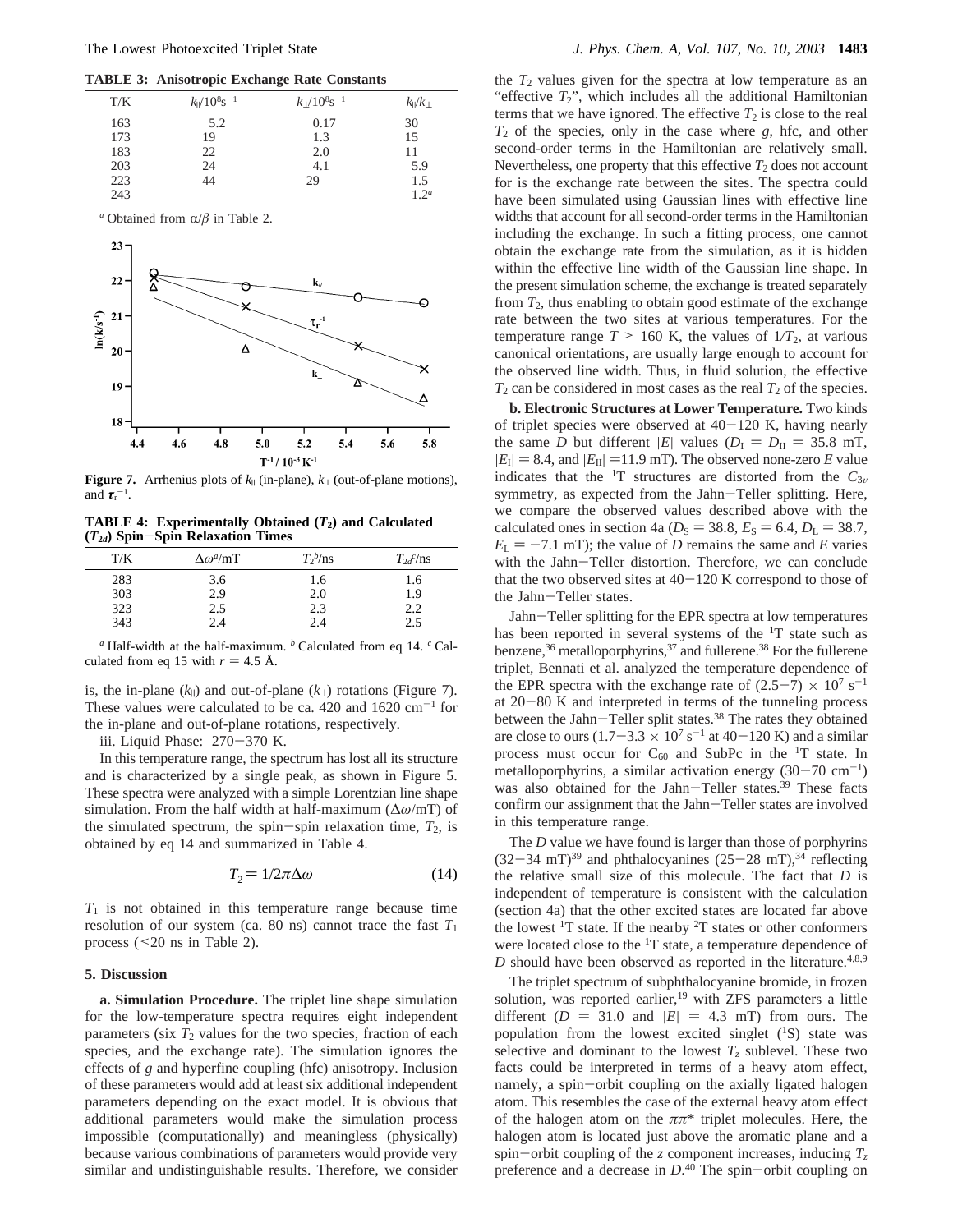**TABLE 3: Anisotropic Exchange Rate Constants**



**Figure 7.** Arrhenius plots of *k*<sup>|</sup> (in-plane), *k*<sup>⊥</sup> (out-of-plane motions), and  $\tau_{\text{r}}^{-1}$ .

**TABLE 4: Experimentally Obtained (***T***2) and Calculated (***T***<sup>2</sup>***d***) Spin**-**Spin Relaxation Times**

| T/K | $\Delta\omega^a/\text{mT}$ | $T_2^b/\text{ns}$ | $T_2$ /ms |
|-----|----------------------------|-------------------|-----------|
| 283 | 3.6                        | 1.6               | 1.6       |
| 303 | 2.9                        | 2.0               | 1.9       |
| 323 | 2.5                        | 2.3               | 2.2       |
| 343 | 2.4                        | 2.4               | 2.5       |

*<sup>a</sup>* Half-width at the half-maximum. *<sup>b</sup>* Calculated from eq 14. *<sup>c</sup>* Calculated from eq 15 with  $r = 4.5 \text{ Å}.$ 

is, the in-plane  $(k_{\parallel})$  and out-of-plane  $(k_{\perp})$  rotations (Figure 7). These values were calculated to be ca. 420 and  $1620 \text{ cm}^{-1}$  for the in-plane and out-of-plane rotations, respectively.

iii. Liquid Phase: 270-370 K.

In this temperature range, the spectrum has lost all its structure and is characterized by a single peak, as shown in Figure 5. These spectra were analyzed with a simple Lorentzian line shape simulation. From the half width at half-maximum (∆*ω*/mT) of the simulated spectrum, the spin-spin relaxation time,  $T_2$ , is obtained by eq 14 and summarized in Table 4.

$$
T_2 = 1/2\pi\Delta\omega\tag{14}
$$

*T*<sup>1</sup> is not obtained in this temperature range because time resolution of our system (ca. 80 ns) cannot trace the fast  $T_1$ process (<20 ns in Table 2).

#### **5. Discussion**

**a. Simulation Procedure.** The triplet line shape simulation for the low-temperature spectra requires eight independent parameters (six  $T_2$  values for the two species, fraction of each species, and the exchange rate). The simulation ignores the effects of *g* and hyperfine coupling (hfc) anisotropy. Inclusion of these parameters would add at least six additional independent parameters depending on the exact model. It is obvious that additional parameters would make the simulation process impossible (computationally) and meaningless (physically) because various combinations of parameters would provide very similar and undistinguishable results. Therefore, we consider

the  $T_2$  values given for the spectra at low temperature as an "effective  $T_2$ ", which includes all the additional Hamiltonian terms that we have ignored. The effective  $T_2$  is close to the real  $T_2$  of the species, only in the case where  $g$ , hfc, and other second-order terms in the Hamiltonian are relatively small. Nevertheless, one property that this effective  $T_2$  does not account for is the exchange rate between the sites. The spectra could have been simulated using Gaussian lines with effective line widths that account for all second-order terms in the Hamiltonian including the exchange. In such a fitting process, one cannot obtain the exchange rate from the simulation, as it is hidden within the effective line width of the Gaussian line shape. In the present simulation scheme, the exchange is treated separately from  $T_2$ , thus enabling to obtain good estimate of the exchange rate between the two sites at various temperatures. For the temperature range  $T > 160$  K, the values of  $1/T_2$ , at various canonical orientations, are usually large enough to account for the observed line width. Thus, in fluid solution, the effective  $T_2$  can be considered in most cases as the real  $T_2$  of the species.

**b. Electronic Structures at Lower Temperature.** Two kinds of triplet species were observed at  $40-120$  K, having nearly the same *D* but different |*E*| values  $(D_I = D_{II} = 35.8 \text{ mT},$  $|E_{\text{I}}| = 8.4$ , and  $|E_{\text{II}}| = 11.9$  mT). The observed none-zero *E* value indicates that the <sup>1</sup>T structures are distorted from the  $C_{3v}$ symmetry, as expected from the Jahn-Teller splitting. Here, we compare the observed values described above with the calculated ones in section 4a ( $D_S = 38.8$ ,  $E_S = 6.4$ ,  $D_L = 38.7$ ,  $E_L = -7.1$  mT); the value of *D* remains the same and *E* varies with the Jahn-Teller distortion. Therefore, we can conclude that the two observed sites at  $40-120$  K correspond to those of the Jahn-Teller states.

Jahn-Teller splitting for the EPR spectra at low temperatures has been reported in several systems of the <sup>1</sup>T state such as benzene,<sup>36</sup> metalloporphyrins,<sup>37</sup> and fullerene.<sup>38</sup> For the fullerene triplet, Bennati et al. analyzed the temperature dependence of the EPR spectra with the exchange rate of  $(2.5-7) \times 10^7$  s<sup>-1</sup> at  $20-80$  K and interpreted in terms of the tunneling process between the Jahn-Teller split states.<sup>38</sup> The rates they obtained are close to ours  $(1.7-3.3 \times 10^7 \text{ s}^{-1})$  at 40-120 K) and a similar process must occur for  $C_{60}$  and SubPc in the <sup>1</sup>T state. In metalloporphyrins, a similar activation energy  $(30-70 \text{ cm}^{-1})$ was also obtained for the Jahn-Teller states.<sup>39</sup> These facts confirm our assignment that the Jahn-Teller states are involved in this temperature range.

The *D* value we have found is larger than those of porphyrins  $(32-34$  mT)<sup>39</sup> and phthalocyanines  $(25-28$  mT),<sup>34</sup> reflecting the relative small size of this molecule. The fact that *D* is independent of temperature is consistent with the calculation (section 4a) that the other excited states are located far above the lowest  $1T$  state. If the nearby  $2T$  states or other conformers were located close to the <sup>1</sup>T state, a temperature dependence of  $D$  should have been observed as reported in the literature.<sup>4,8,9</sup>

The triplet spectrum of subphthalocyanine bromide, in frozen solution, was reported earlier,<sup>19</sup> with ZFS parameters a little different  $(D = 31.0$  and  $|E| = 4.3$  mT) from ours. The population from the lowest excited singlet  $(^1S)$  state was selective and dominant to the lowest  $T<sub>z</sub>$  sublevel. These two facts could be interpreted in terms of a heavy atom effect, namely, a spin-orbit coupling on the axially ligated halogen atom. This resembles the case of the external heavy atom effect of the halogen atom on the *ππ*\* triplet molecules. Here, the halogen atom is located just above the aromatic plane and a spin-orbit coupling of the *z* component increases, inducing  $T_z$ preference and a decrease in  $D^{40}$ . The spin-orbit coupling on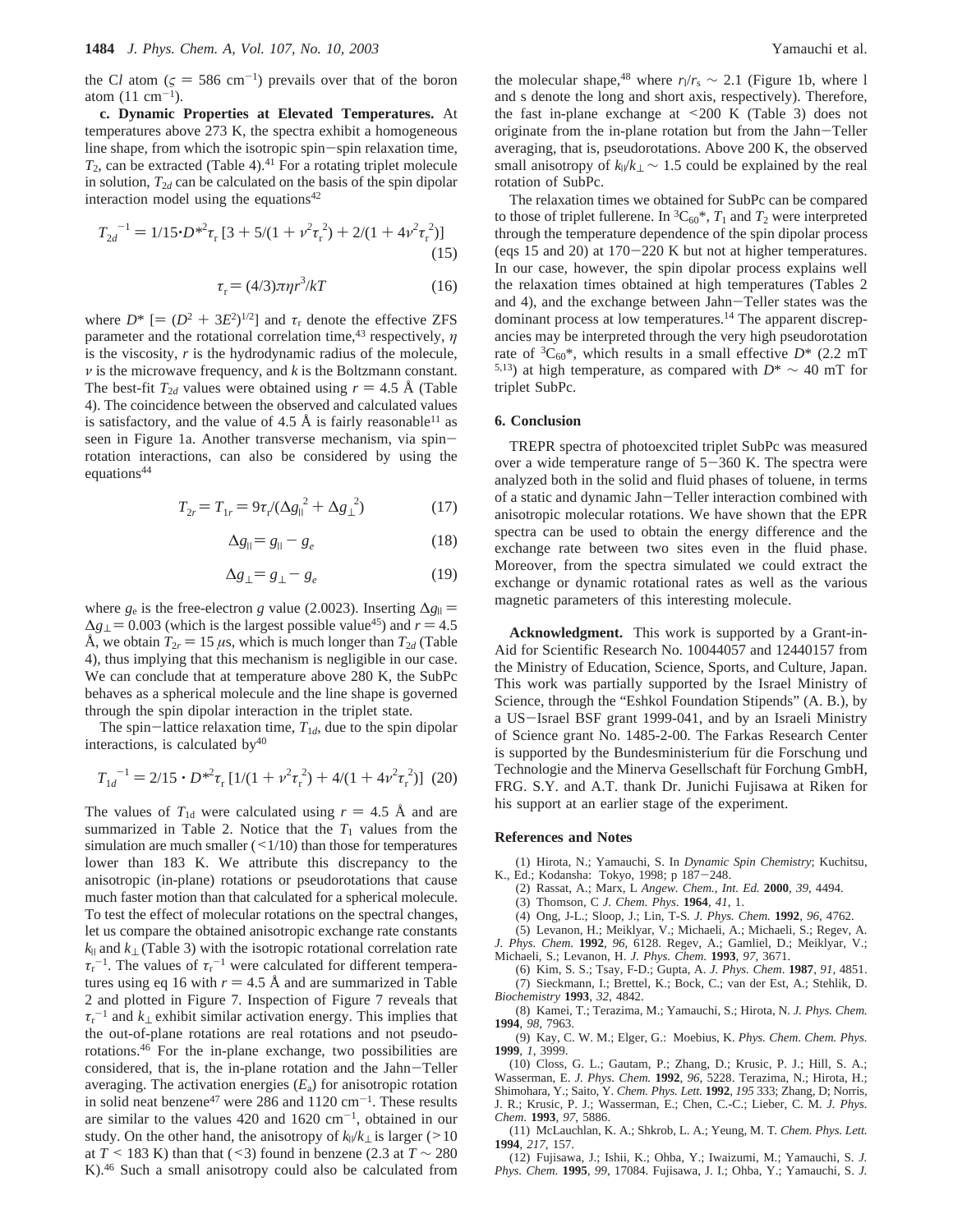the Cl atom ( $\zeta = 586$  cm<sup>-1</sup>) prevails over that of the boron atom  $(11 \text{ cm}^{-1})$ .

**c. Dynamic Properties at Elevated Temperatures.** At temperatures above 273 K, the spectra exhibit a homogeneous line shape, from which the isotropic spin-spin relaxation time,  $T_2$ , can be extracted (Table 4).<sup>41</sup> For a rotating triplet molecule in solution,  $T_{2d}$  can be calculated on the basis of the spin dipolar interaction model using the equations $42$ 

$$
T_{2d}^{-1} = 1/15 \cdot D^{*2} \tau_r [3 + 5/(1 + \nu^2 \tau_r^2) + 2/(1 + 4\nu^2 \tau_r^2)]
$$
\n(15)

$$
\tau_{\rm r} = (4/3)\pi \eta r^3 / kT \tag{16}
$$

where  $D^*$  [=  $(D^2 + 3E^2)^{1/2}$ ] and  $\tau_r$  denote the effective ZFS parameter and the rotational correlation time,43 respectively, *η* is the viscosity, *r* is the hydrodynamic radius of the molecule, *ν* is the microwave frequency, and *k* is the Boltzmann constant. The best-fit  $T_{2d}$  values were obtained using  $r = 4.5$  Å (Table 4). The coincidence between the observed and calculated values is satisfactory, and the value of 4.5 Å is fairly reasonable<sup>11</sup> as seen in Figure 1a. Another transverse mechanism, via spinrotation interactions, can also be considered by using the equations<sup>44</sup>

$$
T_{2r} = T_{1r} = 9\tau_r / (\Delta g_{||}^2 + \Delta g_{\perp}^2)
$$
 (17)

$$
\Delta g_{\parallel} = g_{\parallel} - g_e \tag{18}
$$

$$
\Delta g_{\perp} = g_{\perp} - g_e \tag{19}
$$

where *g*<sub>e</sub> is the free-electron *g* value (2.0023). Inserting  $\Delta g_{\parallel}$  =  $\Delta g_{\perp}$  = 0.003 (which is the largest possible value<sup>45</sup>) and *r* = 4.5 Å, we obtain  $T_{2r} = 15 \mu s$ , which is much longer than  $T_{2d}$  (Table 4), thus implying that this mechanism is negligible in our case. We can conclude that at temperature above 280 K, the SubPc behaves as a spherical molecule and the line shape is governed through the spin dipolar interaction in the triplet state.

The spin-lattice relaxation time,  $T_{1d}$ , due to the spin dipolar interactions, is calculated by $40$ 

$$
T_{1d}^{-1} = 2/15 \cdot D^{*2} \tau_r [1/(1 + \nu^2 \tau_r^2) + 4/(1 + 4\nu^2 \tau_r^2)] \tag{20}
$$

The values of  $T_{1d}$  were calculated using  $r = 4.5$  Å and are summarized in Table 2. Notice that the  $T_1$  values from the simulation are much smaller  $(\leq 1/10)$  than those for temperatures lower than 183 K. We attribute this discrepancy to the anisotropic (in-plane) rotations or pseudorotations that cause much faster motion than that calculated for a spherical molecule. To test the effect of molecular rotations on the spectral changes, let us compare the obtained anisotropic exchange rate constants *k*<sup>|</sup> and *k*<sup>⊥</sup> (Table 3) with the isotropic rotational correlation rate  $\tau_r^{-1}$ . The values of  $\tau_r^{-1}$  were calculated for different temperatures using eq 16 with  $r = 4.5 \text{ Å}$  and are summarized in Table 2 and plotted in Figure 7. Inspection of Figure 7 reveals that  $\tau_r^{-1}$  and  $k_{\perp}$  exhibit similar activation energy. This implies that the out-of-plane rotations are real rotations and not pseudorotations.46 For the in-plane exchange, two possibilities are considered, that is, the in-plane rotation and the Jahn-Teller averaging. The activation energies  $(E_a)$  for anisotropic rotation in solid neat benzene<sup>47</sup> were 286 and  $1120 \text{ cm}^{-1}$ . These results are similar to the values  $420$  and  $1620 \text{ cm}^{-1}$ , obtained in our study. On the other hand, the anisotropy of  $k_1/k_1$  is larger (>10 at  $T \leq 183$  K) than that ( $\leq 3$ ) found in benzene (2.3 at  $T \sim 280$ K).<sup>46</sup> Such a small anisotropy could also be calculated from

the molecular shape,<sup>48</sup> where  $r_1/r_s \sim 2.1$  (Figure 1b, where 1 and s denote the long and short axis, respectively). Therefore, the fast in-plane exchange at  $\leq 200$  K (Table 3) does not originate from the in-plane rotation but from the Jahn-Teller averaging, that is, pseudorotations. Above 200 K, the observed small anisotropy of  $k_{\parallel}/k_{\perp} \sim 1.5$  could be explained by the real rotation of SubPc.

The relaxation times we obtained for SubPc can be compared to those of triplet fullerene. In  ${}^{3}C_{60}$ <sup>\*</sup>,  $T_1$  and  $T_2$  were interpreted through the temperature dependence of the spin dipolar process (eqs 15 and 20) at 170-220 K but not at higher temperatures. In our case, however, the spin dipolar process explains well the relaxation times obtained at high temperatures (Tables 2 and 4), and the exchange between Jahn-Teller states was the dominant process at low temperatures.<sup>14</sup> The apparent discrepancies may be interpreted through the very high pseudorotation rate of  ${}^{3}C_{60}$ <sup>\*</sup>, which results in a small effective  $D^*$  (2.2 mT 5,13) at high temperature, as compared with *D*\* ∼ 40 mT for triplet SubPc.

#### **6. Conclusion**

TREPR spectra of photoexcited triplet SubPc was measured over a wide temperature range of  $5-360$  K. The spectra were analyzed both in the solid and fluid phases of toluene, in terms of a static and dynamic Jahn-Teller interaction combined with anisotropic molecular rotations. We have shown that the EPR spectra can be used to obtain the energy difference and the exchange rate between two sites even in the fluid phase. Moreover, from the spectra simulated we could extract the exchange or dynamic rotational rates as well as the various magnetic parameters of this interesting molecule.

**Acknowledgment.** This work is supported by a Grant-in-Aid for Scientific Research No. 10044057 and 12440157 from the Ministry of Education, Science, Sports, and Culture, Japan. This work was partially supported by the Israel Ministry of Science, through the "Eshkol Foundation Stipends" (A. B.), by a US-Israel BSF grant 1999-041, and by an Israeli Ministry of Science grant No. 1485-2-00. The Farkas Research Center is supported by the Bundesministerium für die Forschung und Technologie and the Minerva Gesellschaft für Forchung GmbH, FRG. S.Y. and A.T. thank Dr. Junichi Fujisawa at Riken for his support at an earlier stage of the experiment.

#### **References and Notes**

(1) Hirota, N.; Yamauchi, S. In *Dynamic Spin Chemistry*; Kuchitsu, K., Ed.; Kodansha: Tokyo, 1998; p 187-248.

- (2) Rassat, A.; Marx, L *Angew. Chem., Int. Ed.* **2000**, *39*, 4494.
- (3) Thomson, C *J. Chem. Phys*. **1964**, *41*, 1.
- (4) Ong, J-L.; Sloop, J.; Lin, T-S*. J. Phys. Chem.* **1992**, *96*, 4762.

(5) Levanon, H.; Meiklyar, V.; Michaeli, A.; Michaeli, S.; Regev, A*. J. Phys. Chem*. **1992**, *96*, 6128. Regev, A.; Gamliel, D.; Meiklyar, V.; Michaeli, S.; Levanon, H. *J. Phys. Chem.* **1993**, *97*, 3671.

(6) Kim, S. S.; Tsay, F-D.; Gupta, A. *J. Phys. Chem*. **1987**, *91*, 4851. (7) Sieckmann, I.; Brettel, K.; Bock, C.; van der Est, A.; Stehlik, D. *Biochemistry* **1993**, *32*, 4842.

(8) Kamei, T.; Terazima, M.; Yamauchi, S.; Hirota, N. *J. Phys. Chem.* **1994**, *98*, 7963.

(9) Kay, C. W. M.; Elger, G.: Moebius, K. *Phys. Chem. Chem. Phys.* **1999**, *1*, 3999.

(10) Closs, G. L.; Gautam, P.; Zhang, D.; Krusic, P. J.; Hill, S. A.; Wasserman, E. *J. Phys. Chem.* **1992**, *96*, 5228. Terazima, N.; Hirota, H.; Shimohara, Y.; Saito, Y. *Chem. Phys. Lett.* **1992**, *195* 333; Zhang, D; Norris, J. R.; Krusic, P. J.; Wasserman, E.; Chen, C.-C.; Lieber, C. M. *J. Phys. Chem*. **1993**, *97*, 5886.

(11) McLauchlan, K. A.; Shkrob, L. A.; Yeung, M. T*. Chem. Phys. Lett.* **1994***, 217*, 157.

(12) Fujisawa, J.; Ishii, K.; Ohba, Y.; Iwaizumi, M.; Yamauchi, S. *J. Phys. Chem.* **1995**, *99*, 17084. Fujisawa, J. I.; Ohba, Y.; Yamauchi, S. *J.*